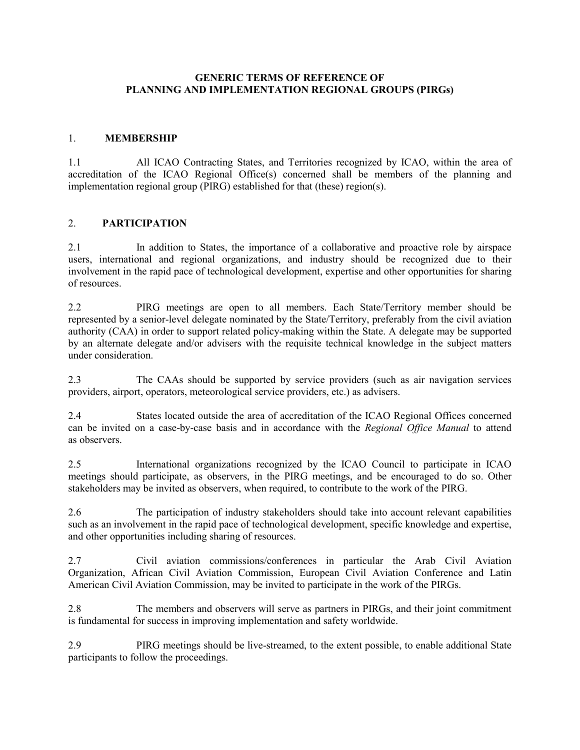### **GENERIC TERMS OF REFERENCE OF PLANNING AND IMPLEMENTATION REGIONAL GROUPS (PIRGs)**

### 1. **MEMBERSHIP**

1.1 All ICAO Contracting States, and Territories recognized by ICAO, within the area of accreditation of the ICAO Regional Office(s) concerned shall be members of the planning and implementation regional group (PIRG) established for that (these) region(s).

#### 2. **PARTICIPATION**

2.1 In addition to States, the importance of a collaborative and proactive role by airspace users, international and regional organizations, and industry should be recognized due to their involvement in the rapid pace of technological development, expertise and other opportunities for sharing of resources.

2.2 PIRG meetings are open to all members. Each State/Territory member should be represented by a senior-level delegate nominated by the State/Territory, preferably from the civil aviation authority (CAA) in order to support related policy-making within the State. A delegate may be supported by an alternate delegate and/or advisers with the requisite technical knowledge in the subject matters under consideration.

2.3 The CAAs should be supported by service providers (such as air navigation services providers, airport, operators, meteorological service providers, etc.) as advisers.

2.4 States located outside the area of accreditation of the ICAO Regional Offices concerned can be invited on a case-by-case basis and in accordance with the *Regional Office Manual* to attend as observers.

2.5 International organizations recognized by the ICAO Council to participate in ICAO meetings should participate, as observers, in the PIRG meetings, and be encouraged to do so. Other stakeholders may be invited as observers, when required, to contribute to the work of the PIRG.

2.6 The participation of industry stakeholders should take into account relevant capabilities such as an involvement in the rapid pace of technological development, specific knowledge and expertise, and other opportunities including sharing of resources.

2.7 Civil aviation commissions/conferences in particular the Arab Civil Aviation Organization, African Civil Aviation Commission, European Civil Aviation Conference and Latin American Civil Aviation Commission, may be invited to participate in the work of the PIRGs.

2.8 The members and observers will serve as partners in PIRGs, and their joint commitment is fundamental for success in improving implementation and safety worldwide.

2.9 PIRG meetings should be live-streamed, to the extent possible, to enable additional State participants to follow the proceedings.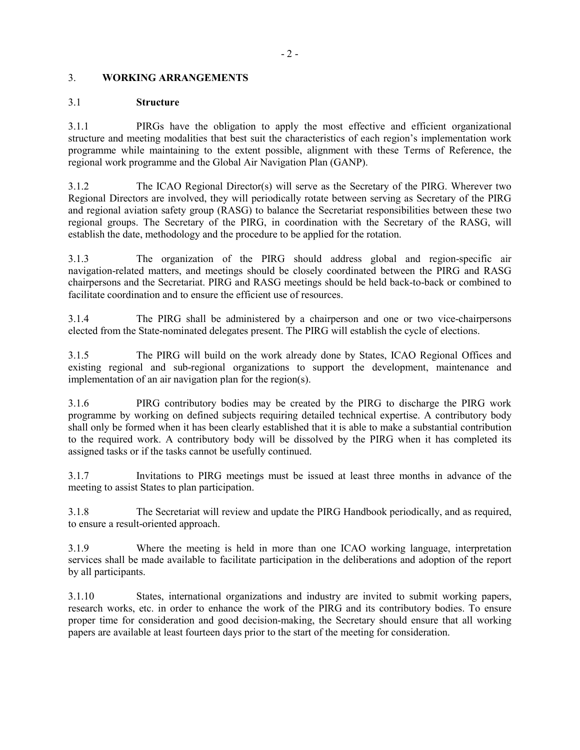# 3. **WORKING ARRANGEMENTS**

## 3.1 **Structure**

3.1.1 PIRGs have the obligation to apply the most effective and efficient organizational structure and meeting modalities that best suit the characteristics of each region's implementation work programme while maintaining to the extent possible, alignment with these Terms of Reference, the regional work programme and the Global Air Navigation Plan (GANP).

3.1.2 The ICAO Regional Director(s) will serve as the Secretary of the PIRG. Wherever two Regional Directors are involved, they will periodically rotate between serving as Secretary of the PIRG and regional aviation safety group (RASG) to balance the Secretariat responsibilities between these two regional groups. The Secretary of the PIRG, in coordination with the Secretary of the RASG, will establish the date, methodology and the procedure to be applied for the rotation.

3.1.3 The organization of the PIRG should address global and region-specific air navigation-related matters, and meetings should be closely coordinated between the PIRG and RASG chairpersons and the Secretariat. PIRG and RASG meetings should be held back-to-back or combined to facilitate coordination and to ensure the efficient use of resources.

3.1.4 The PIRG shall be administered by a chairperson and one or two vice-chairpersons elected from the State-nominated delegates present. The PIRG will establish the cycle of elections.

3.1.5 The PIRG will build on the work already done by States, ICAO Regional Offices and existing regional and sub-regional organizations to support the development, maintenance and implementation of an air navigation plan for the region(s).

3.1.6 PIRG contributory bodies may be created by the PIRG to discharge the PIRG work programme by working on defined subjects requiring detailed technical expertise. A contributory body shall only be formed when it has been clearly established that it is able to make a substantial contribution to the required work. A contributory body will be dissolved by the PIRG when it has completed its assigned tasks or if the tasks cannot be usefully continued.

3.1.7 Invitations to PIRG meetings must be issued at least three months in advance of the meeting to assist States to plan participation.

3.1.8 The Secretariat will review and update the PIRG Handbook periodically, and as required, to ensure a result-oriented approach.

3.1.9 Where the meeting is held in more than one ICAO working language, interpretation services shall be made available to facilitate participation in the deliberations and adoption of the report by all participants.

3.1.10 States, international organizations and industry are invited to submit working papers, research works, etc. in order to enhance the work of the PIRG and its contributory bodies. To ensure proper time for consideration and good decision-making, the Secretary should ensure that all working papers are available at least fourteen days prior to the start of the meeting for consideration.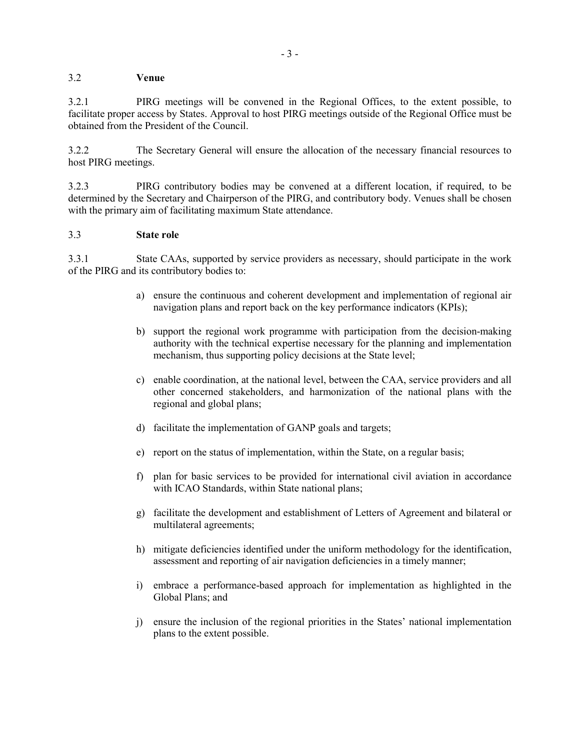# 3.2 **Venue**

3.2.1 PIRG meetings will be convened in the Regional Offices, to the extent possible, to facilitate proper access by States. Approval to host PIRG meetings outside of the Regional Office must be obtained from the President of the Council.

3.2.2 The Secretary General will ensure the allocation of the necessary financial resources to host PIRG meetings.

3.2.3 PIRG contributory bodies may be convened at a different location, if required, to be determined by the Secretary and Chairperson of the PIRG, and contributory body. Venues shall be chosen with the primary aim of facilitating maximum State attendance.

### 3.3 **State role**

3.3.1 State CAAs, supported by service providers as necessary, should participate in the work of the PIRG and its contributory bodies to:

- a) ensure the continuous and coherent development and implementation of regional air navigation plans and report back on the key performance indicators (KPIs);
- b) support the regional work programme with participation from the decision-making authority with the technical expertise necessary for the planning and implementation mechanism, thus supporting policy decisions at the State level;
- c) enable coordination, at the national level, between the CAA, service providers and all other concerned stakeholders, and harmonization of the national plans with the regional and global plans;
- d) facilitate the implementation of GANP goals and targets;
- e) report on the status of implementation, within the State, on a regular basis;
- f) plan for basic services to be provided for international civil aviation in accordance with ICAO Standards, within State national plans;
- g) facilitate the development and establishment of Letters of Agreement and bilateral or multilateral agreements;
- h) mitigate deficiencies identified under the uniform methodology for the identification, assessment and reporting of air navigation deficiencies in a timely manner;
- i) embrace a performance-based approach for implementation as highlighted in the Global Plans; and
- j) ensure the inclusion of the regional priorities in the States' national implementation plans to the extent possible.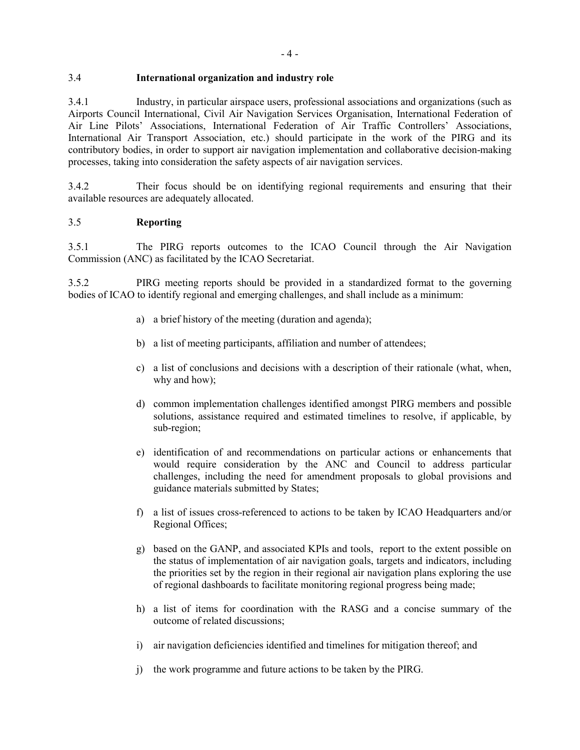# 3.4 **International organization and industry role**

3.4.1 Industry, in particular airspace users, professional associations and organizations (such as Airports Council International, Civil Air Navigation Services Organisation, International Federation of Air Line Pilots' Associations, International Federation of Air Traffic Controllers' Associations, International Air Transport Association, etc.) should participate in the work of the PIRG and its contributory bodies, in order to support air navigation implementation and collaborative decision-making processes, taking into consideration the safety aspects of air navigation services.

3.4.2 Their focus should be on identifying regional requirements and ensuring that their available resources are adequately allocated.

# 3.5 **Reporting**

3.5.1 The PIRG reports outcomes to the ICAO Council through the Air Navigation Commission (ANC) as facilitated by the ICAO Secretariat.

3.5.2 PIRG meeting reports should be provided in a standardized format to the governing bodies of ICAO to identify regional and emerging challenges, and shall include as a minimum:

- a) a brief history of the meeting (duration and agenda);
- b) a list of meeting participants, affiliation and number of attendees;
- c) a list of conclusions and decisions with a description of their rationale (what, when, why and how);
- d) common implementation challenges identified amongst PIRG members and possible solutions, assistance required and estimated timelines to resolve, if applicable, by sub-region;
- e) identification of and recommendations on particular actions or enhancements that would require consideration by the ANC and Council to address particular challenges, including the need for amendment proposals to global provisions and guidance materials submitted by States;
- f) a list of issues cross-referenced to actions to be taken by ICAO Headquarters and/or Regional Offices;
- g) based on the GANP, and associated KPIs and tools, report to the extent possible on the status of implementation of air navigation goals, targets and indicators, including the priorities set by the region in their regional air navigation plans exploring the use of regional dashboards to facilitate monitoring regional progress being made;
- h) a list of items for coordination with the RASG and a concise summary of the outcome of related discussions;
- i) air navigation deficiencies identified and timelines for mitigation thereof; and
- j) the work programme and future actions to be taken by the PIRG.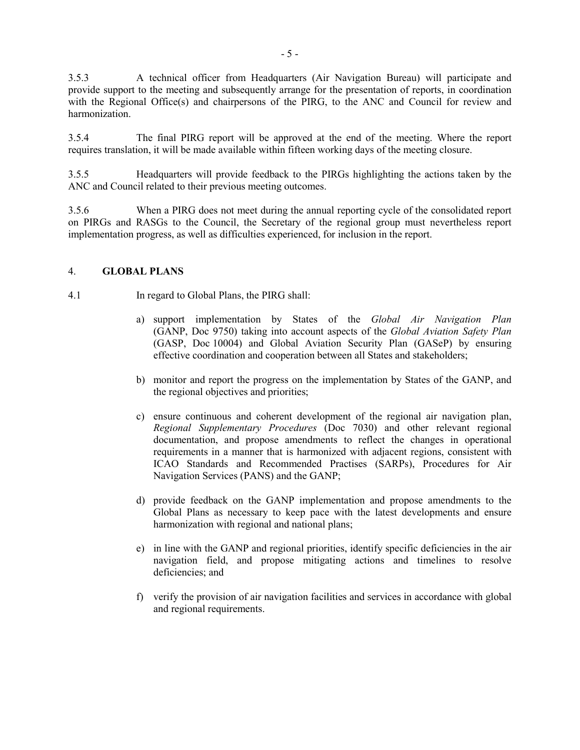3.5.3 A technical officer from Headquarters (Air Navigation Bureau) will participate and provide support to the meeting and subsequently arrange for the presentation of reports, in coordination with the Regional Office(s) and chairpersons of the PIRG, to the ANC and Council for review and harmonization.

3.5.4 The final PIRG report will be approved at the end of the meeting. Where the report requires translation, it will be made available within fifteen working days of the meeting closure.

3.5.5 Headquarters will provide feedback to the PIRGs highlighting the actions taken by the ANC and Council related to their previous meeting outcomes.

3.5.6 When a PIRG does not meet during the annual reporting cycle of the consolidated report on PIRGs and RASGs to the Council, the Secretary of the regional group must nevertheless report implementation progress, as well as difficulties experienced, for inclusion in the report.

#### 4. **GLOBAL PLANS**

- 4.1 In regard to Global Plans, the PIRG shall:
	- a) support implementation by States of the *Global Air Navigation Plan*  (GANP, Doc 9750) taking into account aspects of the *Global Aviation Safety Plan* (GASP, Doc 10004) and Global Aviation Security Plan (GASeP) by ensuring effective coordination and cooperation between all States and stakeholders;
	- b) monitor and report the progress on the implementation by States of the GANP, and the regional objectives and priorities;
	- c) ensure continuous and coherent development of the regional air navigation plan, *Regional Supplementary Procedures* (Doc 7030) and other relevant regional documentation, and propose amendments to reflect the changes in operational requirements in a manner that is harmonized with adjacent regions, consistent with ICAO Standards and Recommended Practises (SARPs), Procedures for Air Navigation Services (PANS) and the GANP;
	- d) provide feedback on the GANP implementation and propose amendments to the Global Plans as necessary to keep pace with the latest developments and ensure harmonization with regional and national plans;
	- e) in line with the GANP and regional priorities, identify specific deficiencies in the air navigation field, and propose mitigating actions and timelines to resolve deficiencies; and
	- f) verify the provision of air navigation facilities and services in accordance with global and regional requirements.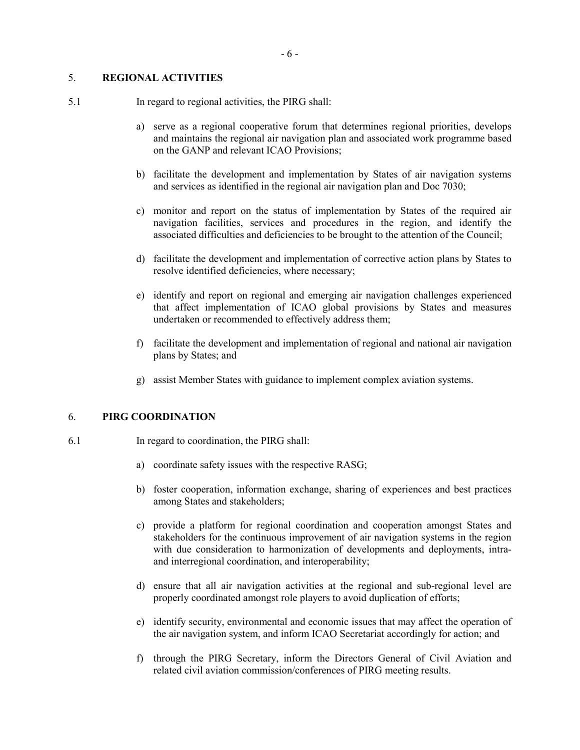# 5. **REGIONAL ACTIVITIES**

- 5.1 In regard to regional activities, the PIRG shall:
	- a) serve as a regional cooperative forum that determines regional priorities, develops and maintains the regional air navigation plan and associated work programme based on the GANP and relevant ICAO Provisions;
	- b) facilitate the development and implementation by States of air navigation systems and services as identified in the regional air navigation plan and Doc 7030;
	- c) monitor and report on the status of implementation by States of the required air navigation facilities, services and procedures in the region, and identify the associated difficulties and deficiencies to be brought to the attention of the Council;
	- d) facilitate the development and implementation of corrective action plans by States to resolve identified deficiencies, where necessary;
	- e) identify and report on regional and emerging air navigation challenges experienced that affect implementation of ICAO global provisions by States and measures undertaken or recommended to effectively address them;
	- f) facilitate the development and implementation of regional and national air navigation plans by States; and
	- g) assist Member States with guidance to implement complex aviation systems.

### 6. **PIRG COORDINATION**

- 6.1 In regard to coordination, the PIRG shall:
	- a) coordinate safety issues with the respective RASG;
	- b) foster cooperation, information exchange, sharing of experiences and best practices among States and stakeholders;
	- c) provide a platform for regional coordination and cooperation amongst States and stakeholders for the continuous improvement of air navigation systems in the region with due consideration to harmonization of developments and deployments, intraand interregional coordination, and interoperability;
	- d) ensure that all air navigation activities at the regional and sub-regional level are properly coordinated amongst role players to avoid duplication of efforts;
	- e) identify security, environmental and economic issues that may affect the operation of the air navigation system, and inform ICAO Secretariat accordingly for action; and
	- f) through the PIRG Secretary, inform the Directors General of Civil Aviation and related civil aviation commission/conferences of PIRG meeting results.